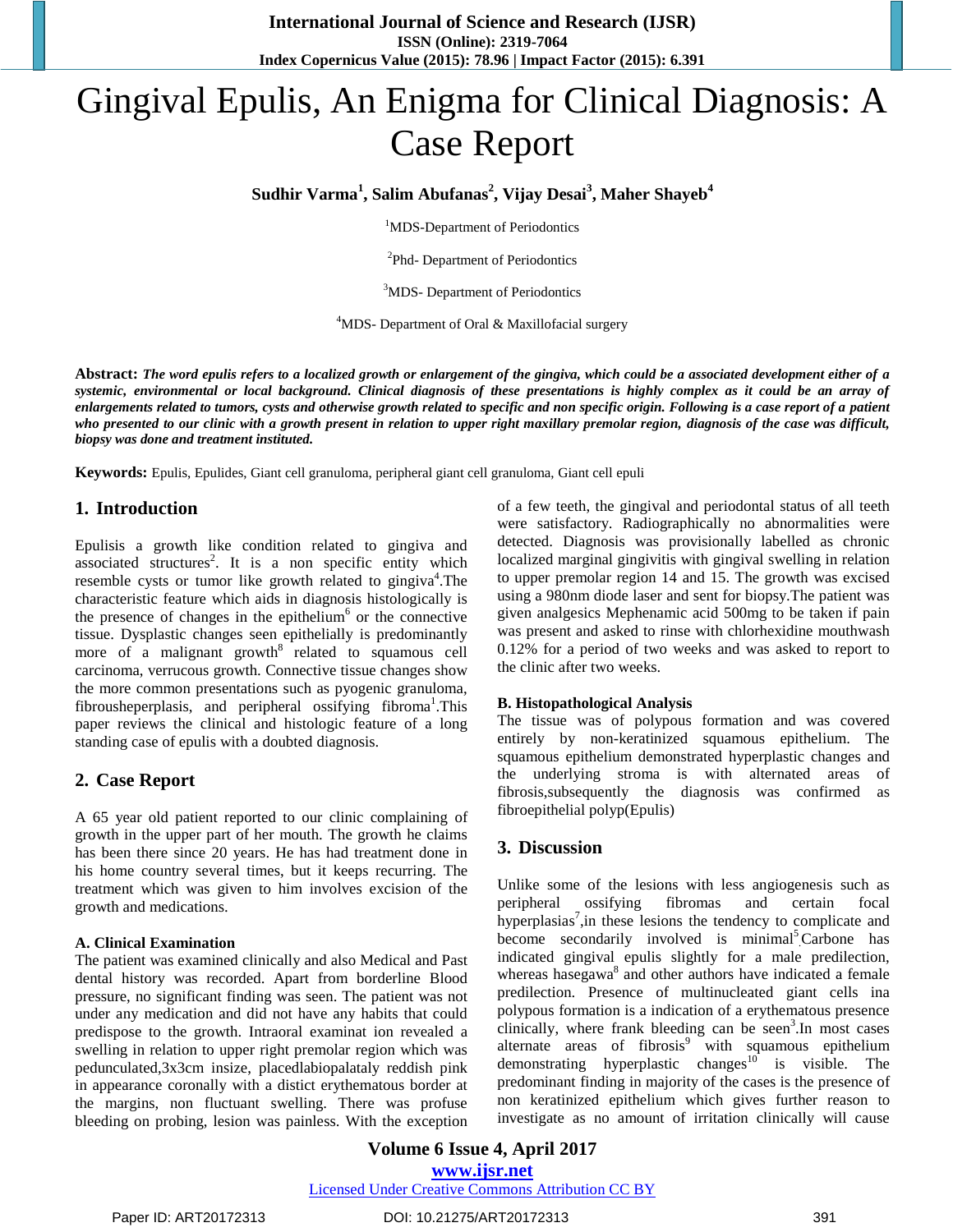# Gingival Epulis, An Enigma for Clinical Diagnosis: A Case Report

**Sudhir Varma<sup>1</sup> , Salim Abufanas<sup>2</sup> , Vijay Desai<sup>3</sup> , Maher Shayeb<sup>4</sup>**

<sup>1</sup>MDS-Department of Periodontics

<sup>2</sup>Phd- Department of Periodontics

<sup>3</sup>MDS- Department of Periodontics

 $4$ MDS- Department of Oral & Maxillofacial surgery

**Abstract:** *The word epulis refers to a localized growth or enlargement of the gingiva, which could be a associated development either of a systemic, environmental or local background. Clinical diagnosis of these presentations is highly complex as it could be an array of enlargements related to tumors, cysts and otherwise growth related to specific and non specific origin. Following is a case report of a patient who presented to our clinic with a growth present in relation to upper right maxillary premolar region, diagnosis of the case was difficult, biopsy was done and treatment instituted.*

**Keywords:** Epulis, Epulides, Giant cell granuloma, peripheral giant cell granuloma, Giant cell epuli

# **1. Introduction**

Epulisis a growth like condition related to gingiva and associated structures<sup>2</sup>. It is a non specific entity which resemble cysts or tumor like growth related to gingiva<sup>4</sup>. The characteristic feature which aids in diagnosis histologically is the presence of changes in the epithelium<sup>6</sup> or the connective tissue. Dysplastic changes seen epithelially is predominantly more of a malignant growth $8$  related to squamous cell carcinoma, verrucous growth. Connective tissue changes show the more common presentations such as pyogenic granuloma, fibrousheperplasis, and peripheral ossifying fibroma<sup>1</sup>. This paper reviews the clinical and histologic feature of a long standing case of epulis with a doubted diagnosis.

## **2. Case Report**

A 65 year old patient reported to our clinic complaining of growth in the upper part of her mouth. The growth he claims has been there since 20 years. He has had treatment done in his home country several times, but it keeps recurring. The treatment which was given to him involves excision of the growth and medications.

#### **A. Clinical Examination**

The patient was examined clinically and also Medical and Past dental history was recorded. Apart from borderline Blood pressure, no significant finding was seen. The patient was not under any medication and did not have any habits that could predispose to the growth. Intraoral examinat ion revealed a swelling in relation to upper right premolar region which was pedunculated,3x3cm insize, placedlabiopalataly reddish pink in appearance coronally with a distict erythematous border at the margins, non fluctuant swelling. There was profuse bleeding on probing, lesion was painless. With the exception

of a few teeth, the gingival and periodontal status of all teeth were satisfactory. Radiographically no abnormalities were detected. Diagnosis was provisionally labelled as chronic localized marginal gingivitis with gingival swelling in relation to upper premolar region 14 and 15. The growth was excised using a 980nm diode laser and sent for biopsy.The patient was given analgesics Mephenamic acid 500mg to be taken if pain was present and asked to rinse with chlorhexidine mouthwash 0.12% for a period of two weeks and was asked to report to the clinic after two weeks.

#### **B. Histopathological Analysis**

The tissue was of polypous formation and was covered entirely by non-keratinized squamous epithelium. The squamous epithelium demonstrated hyperplastic changes and the underlying stroma is with alternated areas of fibrosis,subsequently the diagnosis was confirmed as fibroepithelial polyp(Epulis)

## **3. Discussion**

Unlike some of the lesions with less angiogenesis such as peripheral ossifying fibromas and certain focal hyperplasias<sup>7</sup>, in these lesions the tendency to complicate and become secondarily involved is minimal<sup>5</sup> Carbone has indicated gingival epulis slightly for a male predilection, whereas hasegawa<sup>8</sup> and other authors have indicated a female predilection. Presence of multinucleated giant cells ina polypous formation is a indication of a erythematous presence clinically, where frank bleeding can be seen<sup>3</sup>. In most cases alternate areas of fibrosis<sup>9</sup> with squamous epithelium demonstrating hyperplastic changes<sup>10</sup> is visible. The predominant finding in majority of the cases is the presence of non keratinized epithelium which gives further reason to investigate as no amount of irritation clinically will cause

**Volume 6 Issue 4, April 2017 www.ijsr.net** Licensed Under Creative Commons Attribution CC BY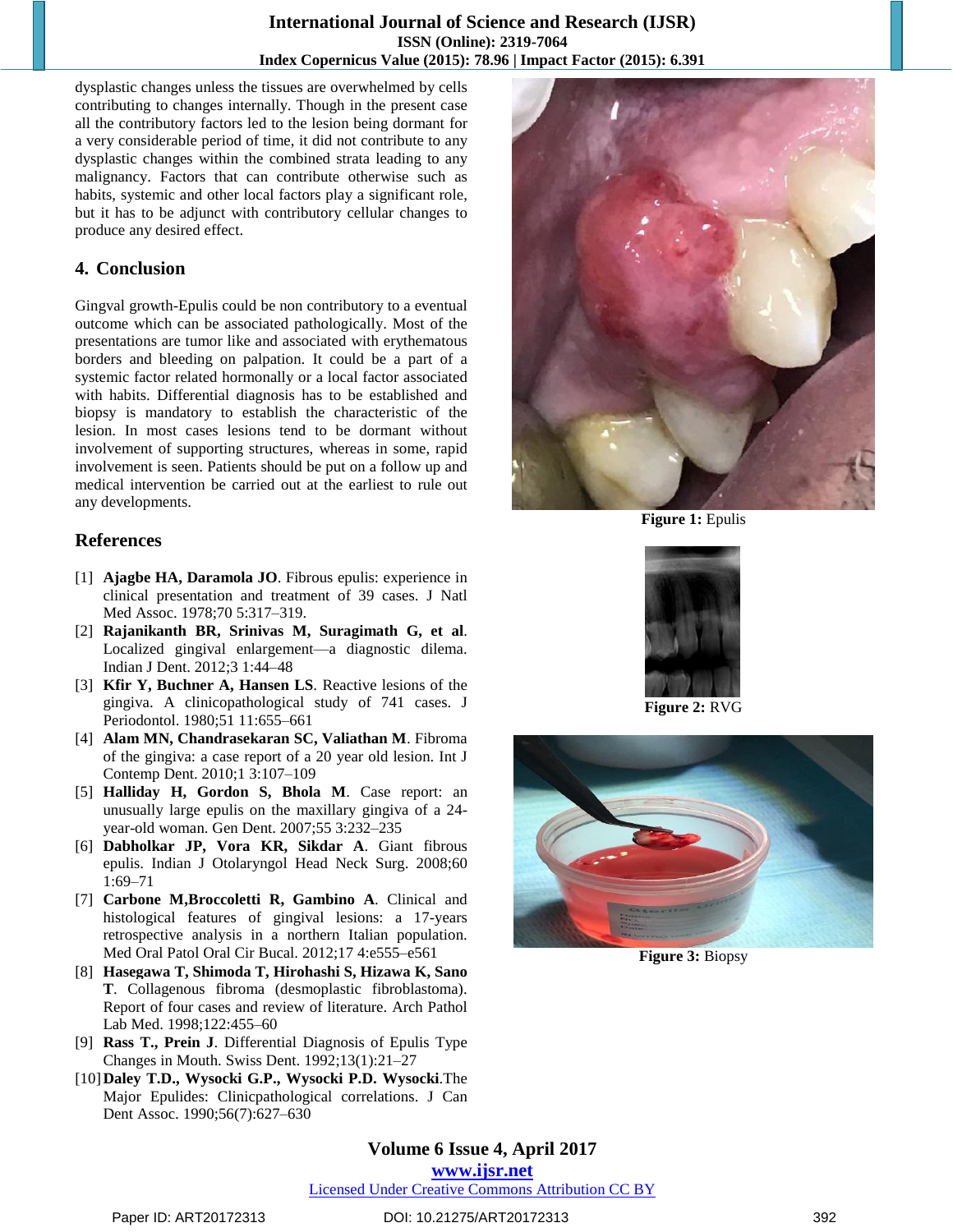dysplastic changes unless the tissues are overwhelmed by cells contributing to changes internally. Though in the present case all the contributory factors led to the lesion being dormant for a very considerable period of time, it did not contribute to any dysplastic changes within the combined strata leading to any malignancy. Factors that can contribute otherwise such as habits, systemic and other local factors play a significant role, but it has to be adjunct with contributory cellular changes to produce any desired effect.

# **4. Conclusion**

Gingval growth-Epulis could be non contributory to a eventual outcome which can be associated pathologically. Most of the presentations are tumor like and associated with erythematous borders and bleeding on palpation. It could be a part of a systemic factor related hormonally or a local factor associated with habits. Differential diagnosis has to be established and biopsy is mandatory to establish the characteristic of the lesion. In most cases lesions tend to be dormant without involvement of supporting structures, whereas in some, rapid involvement is seen. Patients should be put on a follow up and medical intervention be carried out at the earliest to rule out any developments.

# **References**

- [1] **Ajagbe HA, Daramola JO**. Fibrous epulis: experience in clinical presentation and treatment of 39 cases. J Natl Med Assoc. 1978;70 5:317–319.
- [2] **Rajanikanth BR, Srinivas M, Suragimath G, et al**. Localized gingival enlargement—a diagnostic dilema. Indian J Dent. 2012;3 1:44–48
- [3] **Kfir Y, Buchner A, Hansen LS**. Reactive lesions of the gingiva. A clinicopathological study of 741 cases. J Periodontol. 1980;51 11:655–661
- [4] **Alam MN, Chandrasekaran SC, Valiathan M**. Fibroma of the gingiva: a case report of a 20 year old lesion. Int J Contemp Dent. 2010;1 3:107–109
- [5] **Halliday H, Gordon S, Bhola M**. Case report: an unusually large epulis on the maxillary gingiva of a 24 year-old woman. Gen Dent. 2007;55 3:232–235
- [6] **Dabholkar JP, Vora KR, Sikdar A**. Giant fibrous epulis. Indian J Otolaryngol Head Neck Surg. 2008;60 1:69–71
- [7] **Carbone M,Broccoletti R, Gambino A**. Clinical and histological features of gingival lesions: a 17-years retrospective analysis in a northern Italian population. Med Oral Patol Oral Cir Bucal. 2012;17 4:e555–e561
- [8] **Hasegawa T, Shimoda T, Hirohashi S, Hizawa K, Sano T**. Collagenous fibroma (desmoplastic fibroblastoma). Report of four cases and review of literature. Arch Pathol Lab Med. 1998;122:455–60
- [9] **Rass T., Prein J**. Differential Diagnosis of Epulis Type Changes in Mouth. Swiss Dent. 1992;13(1):21–27
- [10]**Daley T.D., Wysocki G.P., Wysocki P.D. Wysocki**.The Major Epulides: Clinicpathological correlations. J Can Dent Assoc. 1990;56(7):627–630



**Figure 1:** Epulis



**Figure 2:** RVG



**Figure 3:** Biopsy

**Volume 6 Issue 4, April 2017 www.ijsr.net** Licensed Under Creative Commons Attribution CC BY